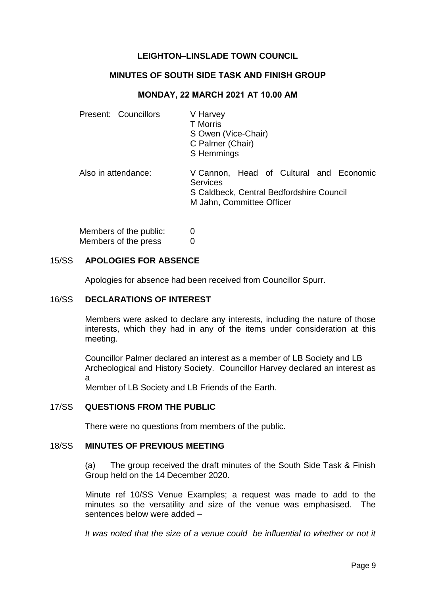# **LEIGHTON–LINSLADE TOWN COUNCIL**

### **MINUTES OF SOUTH SIDE TASK AND FINISH GROUP**

#### **MONDAY, 22 MARCH 2021 AT 10.00 AM**

| Present: Councillors   | V Harvey<br><b>T</b> Morris<br>S Owen (Vice-Chair)<br>C Palmer (Chair)<br>S Hemmings                                         |
|------------------------|------------------------------------------------------------------------------------------------------------------------------|
| Also in attendance:    | V Cannon, Head of Cultural and Economic<br>Services<br>S Caldbeck, Central Bedfordshire Council<br>M Jahn, Committee Officer |
| Members of the public: |                                                                                                                              |

| Members of the press | 0 |
|----------------------|---|
|                      |   |

### 15/SS **APOLOGIES FOR ABSENCE**

Apologies for absence had been received from Councillor Spurr.

## 16/SS **DECLARATIONS OF INTEREST**

Members were asked to declare any interests, including the nature of those interests, which they had in any of the items under consideration at this meeting.

Councillor Palmer declared an interest as a member of LB Society and LB Archeological and History Society. Councillor Harvey declared an interest as a

Member of LB Society and LB Friends of the Earth.

## 17/SS **QUESTIONS FROM THE PUBLIC**

There were no questions from members of the public.

#### 18/SS **MINUTES OF PREVIOUS MEETING**

(a) The group received the draft minutes of the South Side Task & Finish Group held on the 14 December 2020.

Minute ref 10/SS Venue Examples; a request was made to add to the minutes so the versatility and size of the venue was emphasised. The sentences below were added –

It was noted that the size of a venue could be influential to whether or not it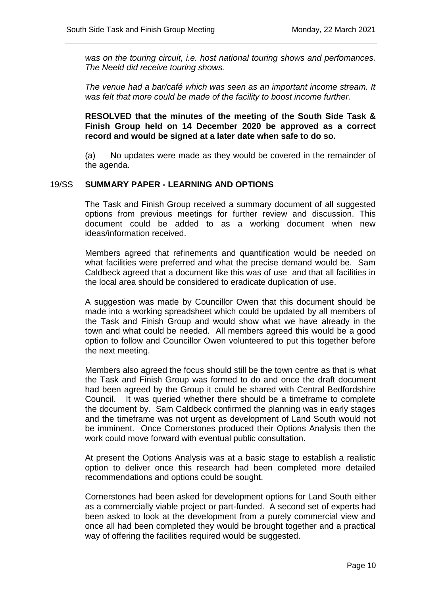*was on the touring circuit, i.e. host national touring shows and perfomances. The Neeld did receive touring shows.* 

*The venue had a bar/café which was seen as an important income stream. It was felt that more could be made of the facility to boost income further.* 

**RESOLVED that the minutes of the meeting of the South Side Task & Finish Group held on 14 December 2020 be approved as a correct record and would be signed at a later date when safe to do so.**

(a) No updates were made as they would be covered in the remainder of the agenda.

#### 19/SS **SUMMARY PAPER - LEARNING AND OPTIONS**

The Task and Finish Group received a summary document of all suggested options from previous meetings for further review and discussion. This document could be added to as a working document when new ideas/information received.

Members agreed that refinements and quantification would be needed on what facilities were preferred and what the precise demand would be. Sam Caldbeck agreed that a document like this was of use and that all facilities in the local area should be considered to eradicate duplication of use.

A suggestion was made by Councillor Owen that this document should be made into a working spreadsheet which could be updated by all members of the Task and Finish Group and would show what we have already in the town and what could be needed. All members agreed this would be a good option to follow and Councillor Owen volunteered to put this together before the next meeting.

Members also agreed the focus should still be the town centre as that is what the Task and Finish Group was formed to do and once the draft document had been agreed by the Group it could be shared with Central Bedfordshire Council. It was queried whether there should be a timeframe to complete the document by. Sam Caldbeck confirmed the planning was in early stages and the timeframe was not urgent as development of Land South would not be imminent. Once Cornerstones produced their Options Analysis then the work could move forward with eventual public consultation.

At present the Options Analysis was at a basic stage to establish a realistic option to deliver once this research had been completed more detailed recommendations and options could be sought.

Cornerstones had been asked for development options for Land South either as a commercially viable project or part-funded. A second set of experts had been asked to look at the development from a purely commercial view and once all had been completed they would be brought together and a practical way of offering the facilities required would be suggested.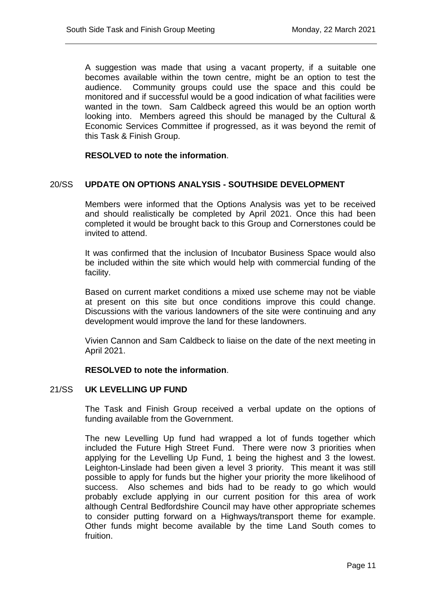A suggestion was made that using a vacant property, if a suitable one becomes available within the town centre, might be an option to test the audience. Community groups could use the space and this could be monitored and if successful would be a good indication of what facilities were wanted in the town. Sam Caldbeck agreed this would be an option worth looking into. Members agreed this should be managed by the Cultural & Economic Services Committee if progressed, as it was beyond the remit of this Task & Finish Group.

## **RESOLVED to note the information**.

## 20/SS **UPDATE ON OPTIONS ANALYSIS - SOUTHSIDE DEVELOPMENT**

Members were informed that the Options Analysis was yet to be received and should realistically be completed by April 2021. Once this had been completed it would be brought back to this Group and Cornerstones could be invited to attend.

It was confirmed that the inclusion of Incubator Business Space would also be included within the site which would help with commercial funding of the facility.

Based on current market conditions a mixed use scheme may not be viable at present on this site but once conditions improve this could change. Discussions with the various landowners of the site were continuing and any development would improve the land for these landowners.

Vivien Cannon and Sam Caldbeck to liaise on the date of the next meeting in April 2021.

#### **RESOLVED to note the information**.

#### 21/SS **UK LEVELLING UP FUND**

The Task and Finish Group received a verbal update on the options of funding available from the Government.

The new Levelling Up fund had wrapped a lot of funds together which included the Future High Street Fund. There were now 3 priorities when applying for the Levelling Up Fund, 1 being the highest and 3 the lowest. Leighton-Linslade had been given a level 3 priority. This meant it was still possible to apply for funds but the higher your priority the more likelihood of success. Also schemes and bids had to be ready to go which would probably exclude applying in our current position for this area of work although Central Bedfordshire Council may have other appropriate schemes to consider putting forward on a Highways/transport theme for example. Other funds might become available by the time Land South comes to fruition.